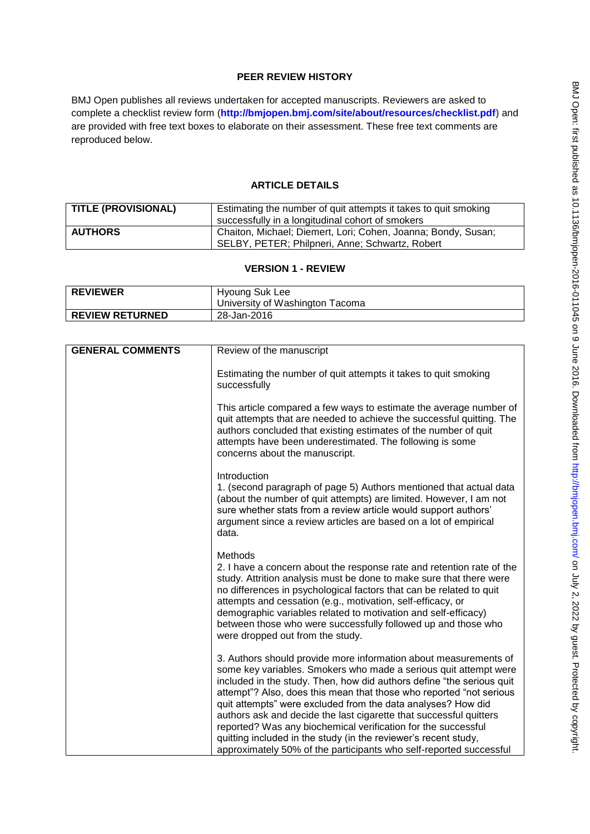# **PEER REVIEW HISTORY**

BMJ Open publishes all reviews undertaken for accepted manuscripts. Reviewers are asked to complete a checklist review form (**[http://bmjopen.bmj.com/site/about/resources/checklist.pdf\)](http://bmjopen.bmj.com/site/about/resources/checklist.pdf)** and are provided with free text boxes to elaborate on their assessment. These free text comments are reproduced below.

# **ARTICLE DETAILS**

| TITLE (PROVISIONAL) | Estimating the number of quit attempts it takes to quit smoking                                                  |
|---------------------|------------------------------------------------------------------------------------------------------------------|
|                     | successfully in a longitudinal cohort of smokers                                                                 |
| <b>AUTHORS</b>      | Chaiton, Michael; Diemert, Lori; Cohen, Joanna; Bondy, Susan;<br>SELBY, PETER; Philpneri, Anne; Schwartz, Robert |

# **VERSION 1 - REVIEW**

| <b>REVIEWER</b>        | Hyoung Suk Lee<br>University of Washington Tacoma |
|------------------------|---------------------------------------------------|
| <b>REVIEW RETURNED</b> | 28-Jan-2016                                       |

| <b>GENERAL COMMENTS</b> | Review of the manuscript                                                                                                                                                                                                                                                                                                                                                                                                                                                                                                                                                                                                             |
|-------------------------|--------------------------------------------------------------------------------------------------------------------------------------------------------------------------------------------------------------------------------------------------------------------------------------------------------------------------------------------------------------------------------------------------------------------------------------------------------------------------------------------------------------------------------------------------------------------------------------------------------------------------------------|
|                         | Estimating the number of quit attempts it takes to quit smoking<br>successfully                                                                                                                                                                                                                                                                                                                                                                                                                                                                                                                                                      |
|                         | This article compared a few ways to estimate the average number of<br>quit attempts that are needed to achieve the successful quitting. The<br>authors concluded that existing estimates of the number of quit<br>attempts have been underestimated. The following is some<br>concerns about the manuscript.                                                                                                                                                                                                                                                                                                                         |
|                         | Introduction<br>1. (second paragraph of page 5) Authors mentioned that actual data<br>(about the number of quit attempts) are limited. However, I am not<br>sure whether stats from a review article would support authors'<br>argument since a review articles are based on a lot of empirical<br>data.                                                                                                                                                                                                                                                                                                                             |
|                         | Methods<br>2. I have a concern about the response rate and retention rate of the<br>study. Attrition analysis must be done to make sure that there were<br>no differences in psychological factors that can be related to quit<br>attempts and cessation (e.g., motivation, self-efficacy, or<br>demographic variables related to motivation and self-efficacy)<br>between those who were successfully followed up and those who<br>were dropped out from the study.                                                                                                                                                                 |
|                         | 3. Authors should provide more information about measurements of<br>some key variables. Smokers who made a serious quit attempt were<br>included in the study. Then, how did authors define "the serious quit<br>attempt"? Also, does this mean that those who reported "not serious<br>quit attempts" were excluded from the data analyses? How did<br>authors ask and decide the last cigarette that successful quitters<br>reported? Was any biochemical verification for the successful<br>quitting included in the study (in the reviewer's recent study,<br>approximately 50% of the participants who self-reported successful |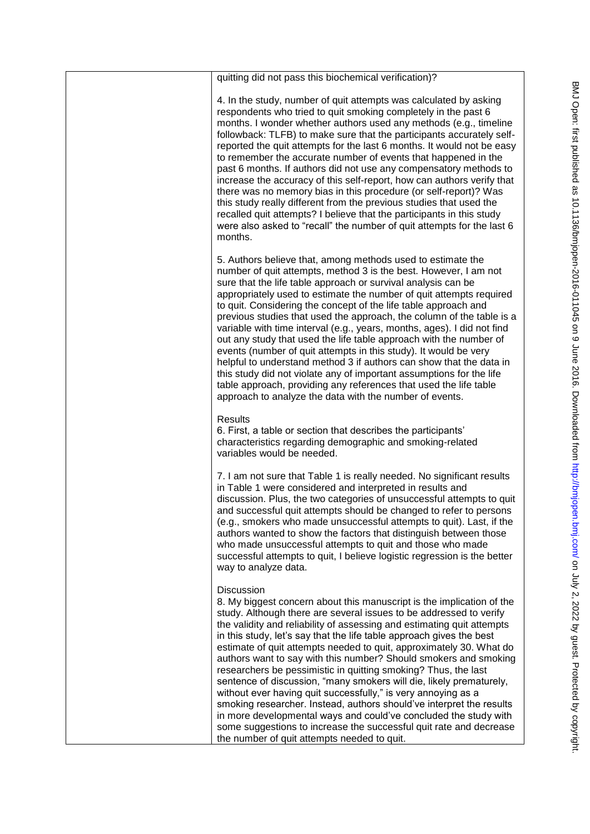| quitting did not pass this biochemical verification)?                                                                                                                                                                                                                                                                                                                                                                                                                                                                                                                                                                                                                                                                                                                                                                                                                                                                                    |
|------------------------------------------------------------------------------------------------------------------------------------------------------------------------------------------------------------------------------------------------------------------------------------------------------------------------------------------------------------------------------------------------------------------------------------------------------------------------------------------------------------------------------------------------------------------------------------------------------------------------------------------------------------------------------------------------------------------------------------------------------------------------------------------------------------------------------------------------------------------------------------------------------------------------------------------|
| 4. In the study, number of quit attempts was calculated by asking<br>respondents who tried to quit smoking completely in the past 6<br>months. I wonder whether authors used any methods (e.g., timeline<br>followback: TLFB) to make sure that the participants accurately self-<br>reported the quit attempts for the last 6 months. It would not be easy<br>to remember the accurate number of events that happened in the<br>past 6 months. If authors did not use any compensatory methods to<br>increase the accuracy of this self-report, how can authors verify that<br>there was no memory bias in this procedure (or self-report)? Was<br>this study really different from the previous studies that used the<br>recalled quit attempts? I believe that the participants in this study<br>were also asked to "recall" the number of quit attempts for the last 6<br>months.                                                    |
| 5. Authors believe that, among methods used to estimate the<br>number of quit attempts, method 3 is the best. However, I am not<br>sure that the life table approach or survival analysis can be<br>appropriately used to estimate the number of quit attempts required<br>to quit. Considering the concept of the life table approach and<br>previous studies that used the approach, the column of the table is a<br>variable with time interval (e.g., years, months, ages). I did not find<br>out any study that used the life table approach with the number of<br>events (number of quit attempts in this study). It would be very<br>helpful to understand method 3 if authors can show that the data in<br>this study did not violate any of important assumptions for the life<br>table approach, providing any references that used the life table<br>approach to analyze the data with the number of events.                  |
| <b>Results</b><br>6. First, a table or section that describes the participants'<br>characteristics regarding demographic and smoking-related<br>variables would be needed.                                                                                                                                                                                                                                                                                                                                                                                                                                                                                                                                                                                                                                                                                                                                                               |
| 7. I am not sure that Table 1 is really needed. No significant results<br>in Table 1 were considered and interpreted in results and<br>discussion. Plus, the two categories of unsuccessful attempts to quit<br>and successful quit attempts should be changed to refer to persons<br>(e.g., smokers who made unsuccessful attempts to quit). Last, if the<br>authors wanted to show the factors that distinguish between those<br>who made unsuccessful attempts to quit and those who made<br>successful attempts to quit, I believe logistic regression is the better<br>way to analyze data.                                                                                                                                                                                                                                                                                                                                         |
| <b>Discussion</b><br>8. My biggest concern about this manuscript is the implication of the<br>study. Although there are several issues to be addressed to verify<br>the validity and reliability of assessing and estimating quit attempts<br>in this study, let's say that the life table approach gives the best<br>estimate of quit attempts needed to quit, approximately 30. What do<br>authors want to say with this number? Should smokers and smoking<br>researchers be pessimistic in quitting smoking? Thus, the last<br>sentence of discussion, "many smokers will die, likely prematurely,<br>without ever having quit successfully," is very annoying as a<br>smoking researcher. Instead, authors should've interpret the results<br>in more developmental ways and could've concluded the study with<br>some suggestions to increase the successful quit rate and decrease<br>the number of quit attempts needed to quit. |

BMJ Open: first published as 10.1136/bmjopen-2016-011045 on 9 June 2016. Downloaded from http://bmjopen.bmj.com/ on July 2, 2022 by guest. Protected by copyright. BMJ Open: first published as 10.1136/bmjopen-2016-0145 on 9 June 2016. Downloaded from <http://bmjopen.bmj.com/> on July 2, 2022 by guest. Protected by copyright.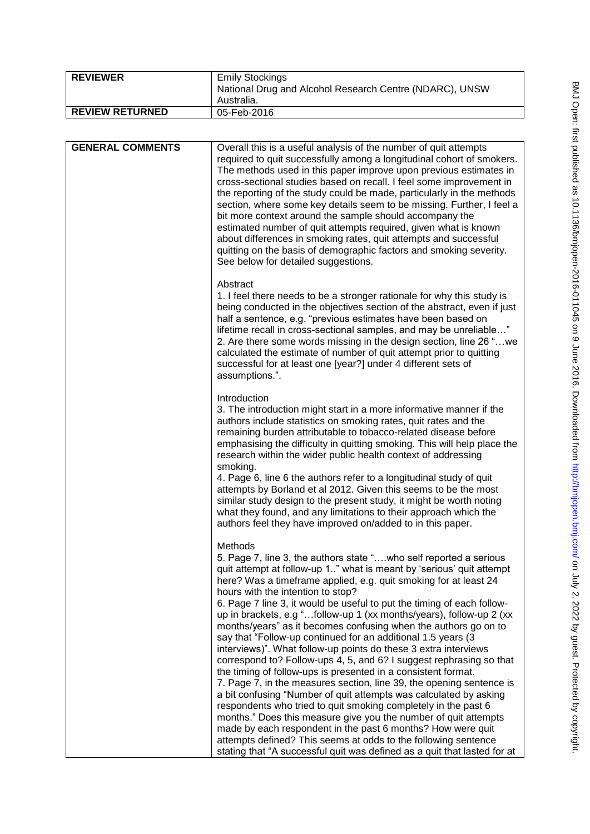| <b>REVIEWER</b>        | <b>Emily Stockings</b><br>National Drug and Alcohol Research Centre (NDARC), UNSW<br>Australia. |
|------------------------|-------------------------------------------------------------------------------------------------|
| <b>REVIEW RETURNED</b> | 05-Feb-2016                                                                                     |

| <b>GENERAL COMMENTS</b> | Overall this is a useful analysis of the number of quit attempts<br>required to quit successfully among a longitudinal cohort of smokers.<br>The methods used in this paper improve upon previous estimates in<br>cross-sectional studies based on recall. I feel some improvement in<br>the reporting of the study could be made, particularly in the methods<br>section, where some key details seem to be missing. Further, I feel a<br>bit more context around the sample should accompany the<br>estimated number of quit attempts required, given what is known<br>about differences in smoking rates, quit attempts and successful<br>quitting on the basis of demographic factors and smoking severity.<br>See below for detailed suggestions.                                                                                                                                                                                                                                                                                                                                                                                                                                                                                                       |
|-------------------------|--------------------------------------------------------------------------------------------------------------------------------------------------------------------------------------------------------------------------------------------------------------------------------------------------------------------------------------------------------------------------------------------------------------------------------------------------------------------------------------------------------------------------------------------------------------------------------------------------------------------------------------------------------------------------------------------------------------------------------------------------------------------------------------------------------------------------------------------------------------------------------------------------------------------------------------------------------------------------------------------------------------------------------------------------------------------------------------------------------------------------------------------------------------------------------------------------------------------------------------------------------------|
|                         | Abstract<br>1. I feel there needs to be a stronger rationale for why this study is<br>being conducted in the objectives section of the abstract, even if just<br>half a sentence, e.g. "previous estimates have been based on<br>lifetime recall in cross-sectional samples, and may be unreliable"<br>2. Are there some words missing in the design section, line 26 " we<br>calculated the estimate of number of quit attempt prior to quitting<br>successful for at least one [year?] under 4 different sets of<br>assumptions.".                                                                                                                                                                                                                                                                                                                                                                                                                                                                                                                                                                                                                                                                                                                         |
|                         | Introduction<br>3. The introduction might start in a more informative manner if the<br>authors include statistics on smoking rates, quit rates and the<br>remaining burden attributable to tobacco-related disease before<br>emphasising the difficulty in quitting smoking. This will help place the<br>research within the wider public health context of addressing<br>smoking.<br>4. Page 6, line 6 the authors refer to a longitudinal study of quit<br>attempts by Borland et al 2012. Given this seems to be the most<br>similar study design to the present study, it might be worth noting<br>what they found, and any limitations to their approach which the<br>authors feel they have improved on/added to in this paper.                                                                                                                                                                                                                                                                                                                                                                                                                                                                                                                        |
|                         | Methods<br>5. Page 7, line 3, the authors state " who self reported a serious<br>quit attempt at follow-up 1" what is meant by 'serious' quit attempt<br>here? Was a timeframe applied, e.g. quit smoking for at least 24<br>hours with the intention to stop?<br>6. Page 7 line 3, it would be useful to put the timing of each follow-<br>up in brackets, e.g "follow-up 1 (xx months/years), follow-up 2 (xx<br>months/years" as it becomes confusing when the authors go on to<br>say that "Follow-up continued for an additional 1.5 years (3<br>interviews)". What follow-up points do these 3 extra interviews<br>correspond to? Follow-ups 4, 5, and 6? I suggest rephrasing so that<br>the timing of follow-ups is presented in a consistent format.<br>7. Page 7, in the measures section, line 39, the opening sentence is<br>a bit confusing "Number of quit attempts was calculated by asking<br>respondents who tried to quit smoking completely in the past 6<br>months." Does this measure give you the number of quit attempts<br>made by each respondent in the past 6 months? How were quit<br>attempts defined? This seems at odds to the following sentence<br>stating that "A successful quit was defined as a quit that lasted for at |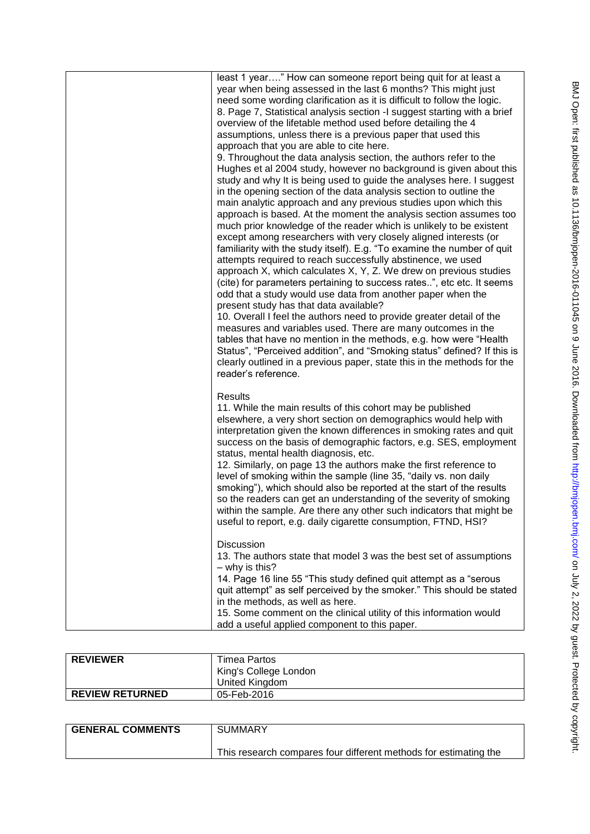|  | least 1 year" How can someone report being quit for at least a<br>year when being assessed in the last 6 months? This might just<br>need some wording clarification as it is difficult to follow the logic.<br>8. Page 7, Statistical analysis section -I suggest starting with a brief<br>overview of the lifetable method used before detailing the 4<br>assumptions, unless there is a previous paper that used this<br>approach that you are able to cite here.<br>9. Throughout the data analysis section, the authors refer to the<br>Hughes et al 2004 study, however no background is given about this<br>study and why It is being used to guide the analyses here. I suggest<br>in the opening section of the data analysis section to outline the<br>main analytic approach and any previous studies upon which this<br>approach is based. At the moment the analysis section assumes too<br>much prior knowledge of the reader which is unlikely to be existent<br>except among researchers with very closely aligned interests (or<br>familiarity with the study itself). E.g. "To examine the number of quit<br>attempts required to reach successfully abstinence, we used<br>approach X, which calculates X, Y, Z. We drew on previous studies<br>(cite) for parameters pertaining to success rates", etc etc. It seems<br>odd that a study would use data from another paper when the<br>present study has that data available?<br>10. Overall I feel the authors need to provide greater detail of the<br>measures and variables used. There are many outcomes in the<br>tables that have no mention in the methods, e.g. how were "Health"<br>Status", "Perceived addition", and "Smoking status" defined? If this is<br>clearly outlined in a previous paper, state this in the methods for the<br>reader's reference. |
|--|--------------------------------------------------------------------------------------------------------------------------------------------------------------------------------------------------------------------------------------------------------------------------------------------------------------------------------------------------------------------------------------------------------------------------------------------------------------------------------------------------------------------------------------------------------------------------------------------------------------------------------------------------------------------------------------------------------------------------------------------------------------------------------------------------------------------------------------------------------------------------------------------------------------------------------------------------------------------------------------------------------------------------------------------------------------------------------------------------------------------------------------------------------------------------------------------------------------------------------------------------------------------------------------------------------------------------------------------------------------------------------------------------------------------------------------------------------------------------------------------------------------------------------------------------------------------------------------------------------------------------------------------------------------------------------------------------------------------------------------------------------------------------------------------------------------------------------------------|
|  | Results<br>11. While the main results of this cohort may be published<br>elsewhere, a very short section on demographics would help with<br>interpretation given the known differences in smoking rates and quit<br>success on the basis of demographic factors, e.g. SES, employment<br>status, mental health diagnosis, etc.<br>12. Similarly, on page 13 the authors make the first reference to<br>level of smoking within the sample (line 35, "daily vs. non daily<br>smoking"), which should also be reported at the start of the results<br>so the readers can get an understanding of the severity of smoking<br>within the sample. Are there any other such indicators that might be<br>useful to report, e.g. daily cigarette consumption, FTND, HSI?                                                                                                                                                                                                                                                                                                                                                                                                                                                                                                                                                                                                                                                                                                                                                                                                                                                                                                                                                                                                                                                                           |
|  | Discussion<br>13. The authors state that model 3 was the best set of assumptions<br>- why is this?<br>14. Page 16 line 55 "This study defined quit attempt as a "serous<br>quit attempt" as self perceived by the smoker." This should be stated<br>in the methods, as well as here.<br>15. Some comment on the clinical utility of this information would<br>add a useful applied component to this paper.                                                                                                                                                                                                                                                                                                                                                                                                                                                                                                                                                                                                                                                                                                                                                                                                                                                                                                                                                                                                                                                                                                                                                                                                                                                                                                                                                                                                                                |

| <b>REVIEWER</b>        | Timea Partos<br>King's College London<br>United Kingdom |
|------------------------|---------------------------------------------------------|
| <b>REVIEW RETURNED</b> | 05-Feb-2016                                             |

| <b>GENERAL COMMENTS</b> | SUMMARY                                                          |
|-------------------------|------------------------------------------------------------------|
|                         | This research compares four different methods for estimating the |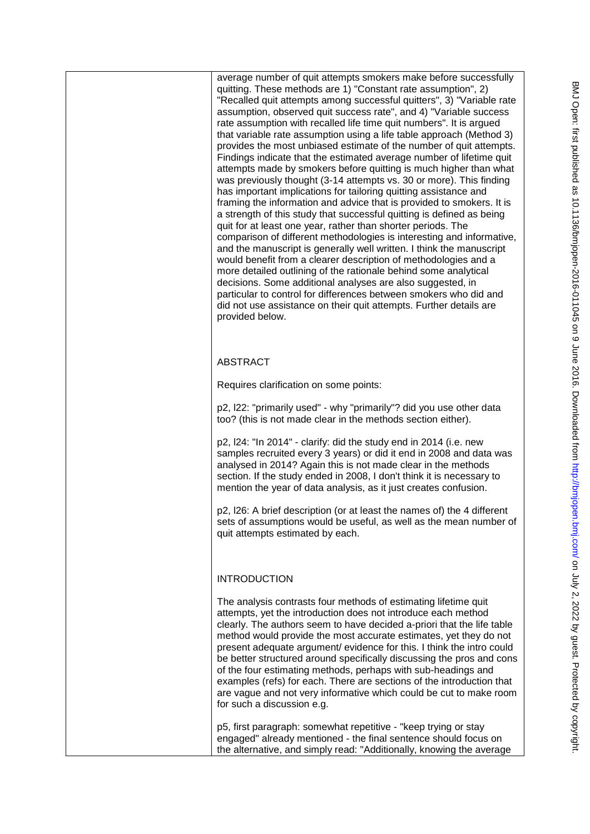average number of quit attempts smokers make before successfully quitting. These methods are 1) "Constant rate assumption", 2) "Recalled quit attempts among successful quitters", 3) "Variable rate assumption, observed quit success rate", and 4) "Variable success rate assumption with recalled life time quit numbers". It is argued that variable rate assumption using a life table approach (Method 3) provides the most unbiased estimate of the number of quit attempts. Findings indicate that the estimated average number of lifetime quit attempts made by smokers before quitting is much higher than what was previously thought (3-14 attempts vs. 30 or more). This finding has important implications for tailoring quitting assistance and framing the information and advice that is provided to smokers. It is a strength of this study that successful quitting is defined as being quit for at least one year, rather than shorter periods. The comparison of different methodologies is interesting and informative, and the manuscript is generally well written. I think the manuscript would benefit from a clearer description of methodologies and a more detailed outlining of the rationale behind some analytical decisions. Some additional analyses are also suggested, in particular to control for differences between smokers who did and did not use assistance on their quit attempts. Further details are provided below.

# ABSTRACT

Requires clarification on some points:

p2, l22: "primarily used" - why "primarily"? did you use other data too? (this is not made clear in the methods section either).

p2, l24: "In 2014" - clarify: did the study end in 2014 (i.e. new samples recruited every 3 years) or did it end in 2008 and data was analysed in 2014? Again this is not made clear in the methods section. If the study ended in 2008, I don't think it is necessary to mention the year of data analysis, as it just creates confusion.

p2, l26: A brief description (or at least the names of) the 4 different sets of assumptions would be useful, as well as the mean number of quit attempts estimated by each.

# **INTRODUCTION**

The analysis contrasts four methods of estimating lifetime quit attempts, yet the introduction does not introduce each method clearly. The authors seem to have decided a-priori that the life table method would provide the most accurate estimates, yet they do not present adequate argument/ evidence for this. I think the intro could be better structured around specifically discussing the pros and cons of the four estimating methods, perhaps with sub-headings and examples (refs) for each. There are sections of the introduction that are vague and not very informative which could be cut to make room for such a discussion e.g.

p5, first paragraph: somewhat repetitive - "keep trying or stay engaged" already mentioned - the final sentence should focus on the alternative, and simply read: "Additionally, knowing the average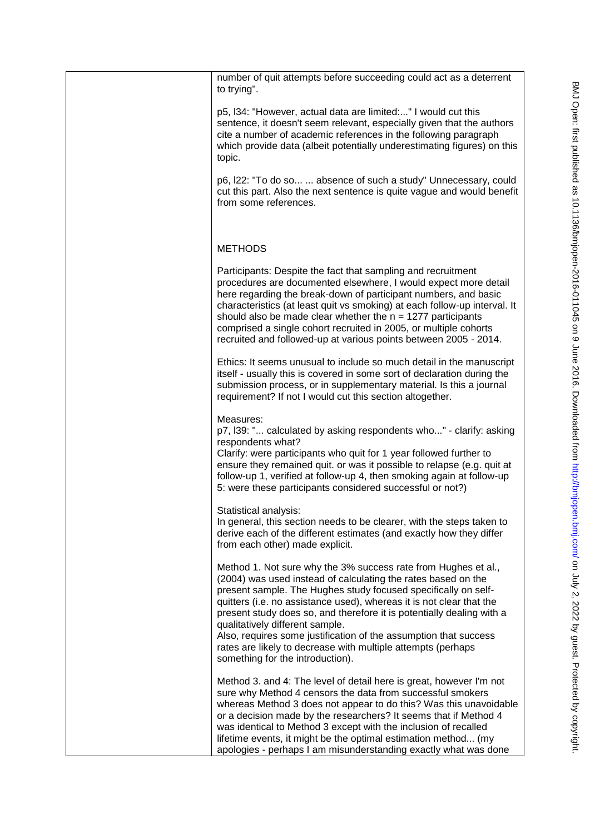| number of quit attempts before succeeding could act as a deterrent<br>to trying".                                                                                                                                                                                                                                                                                                                                                                                                                                                                             |
|---------------------------------------------------------------------------------------------------------------------------------------------------------------------------------------------------------------------------------------------------------------------------------------------------------------------------------------------------------------------------------------------------------------------------------------------------------------------------------------------------------------------------------------------------------------|
| p5, I34: "However, actual data are limited:" I would cut this<br>sentence, it doesn't seem relevant, especially given that the authors<br>cite a number of academic references in the following paragraph<br>which provide data (albeit potentially underestimating figures) on this<br>topic.                                                                                                                                                                                                                                                                |
| p6, I22: "To do so  absence of such a study" Unnecessary, could<br>cut this part. Also the next sentence is quite vague and would benefit<br>from some references.                                                                                                                                                                                                                                                                                                                                                                                            |
| <b>METHODS</b>                                                                                                                                                                                                                                                                                                                                                                                                                                                                                                                                                |
| Participants: Despite the fact that sampling and recruitment<br>procedures are documented elsewhere, I would expect more detail<br>here regarding the break-down of participant numbers, and basic<br>characteristics (at least quit vs smoking) at each follow-up interval. It<br>should also be made clear whether the $n = 1277$ participants<br>comprised a single cohort recruited in 2005, or multiple cohorts<br>recruited and followed-up at various points between 2005 - 2014.                                                                      |
| Ethics: It seems unusual to include so much detail in the manuscript<br>itself - usually this is covered in some sort of declaration during the<br>submission process, or in supplementary material. Is this a journal<br>requirement? If not I would cut this section altogether.                                                                                                                                                                                                                                                                            |
| Measures:<br>p7, I39: " calculated by asking respondents who" - clarify: asking<br>respondents what?<br>Clarify: were participants who quit for 1 year followed further to<br>ensure they remained quit. or was it possible to relapse (e.g. quit at<br>follow-up 1, verified at follow-up 4, then smoking again at follow-up<br>5: were these participants considered successful or not?)                                                                                                                                                                    |
| Statistical analysis:<br>In general, this section needs to be clearer, with the steps taken to<br>derive each of the different estimates (and exactly how they differ<br>from each other) made explicit.                                                                                                                                                                                                                                                                                                                                                      |
| Method 1. Not sure why the 3% success rate from Hughes et al.,<br>(2004) was used instead of calculating the rates based on the<br>present sample. The Hughes study focused specifically on self-<br>quitters (i.e. no assistance used), whereas it is not clear that the<br>present study does so, and therefore it is potentially dealing with a<br>qualitatively different sample.<br>Also, requires some justification of the assumption that success<br>rates are likely to decrease with multiple attempts (perhaps<br>something for the introduction). |
| Method 3. and 4: The level of detail here is great, however I'm not<br>sure why Method 4 censors the data from successful smokers<br>whereas Method 3 does not appear to do this? Was this unavoidable<br>or a decision made by the researchers? It seems that if Method 4<br>was identical to Method 3 except with the inclusion of recalled<br>lifetime events, it might be the optimal estimation method (my<br>apologies - perhaps I am misunderstanding exactly what was done                                                                            |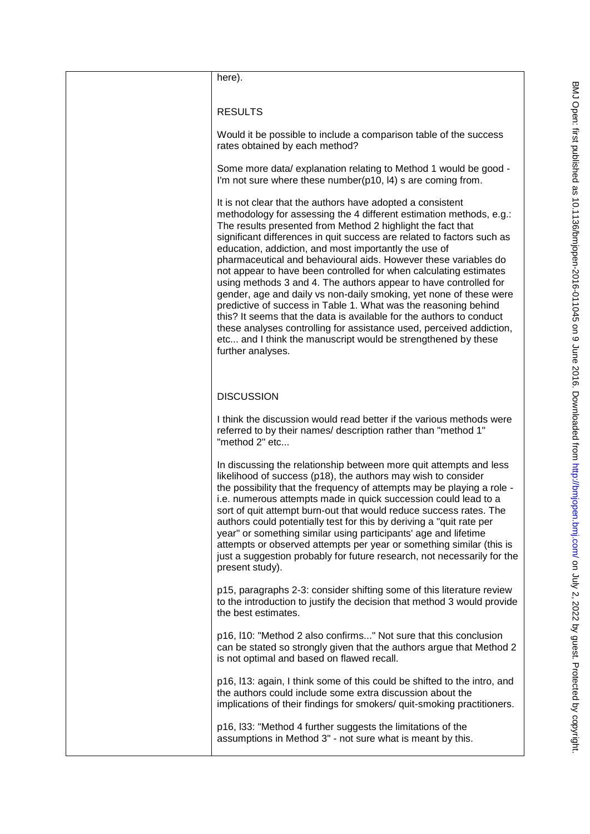| here).                                                                                                                                                                                                                                                                                                                                                                                                                                                                                                                                                                                                                                                                                                                                                                                                                                                                                                                         |
|--------------------------------------------------------------------------------------------------------------------------------------------------------------------------------------------------------------------------------------------------------------------------------------------------------------------------------------------------------------------------------------------------------------------------------------------------------------------------------------------------------------------------------------------------------------------------------------------------------------------------------------------------------------------------------------------------------------------------------------------------------------------------------------------------------------------------------------------------------------------------------------------------------------------------------|
| <b>RESULTS</b>                                                                                                                                                                                                                                                                                                                                                                                                                                                                                                                                                                                                                                                                                                                                                                                                                                                                                                                 |
| Would it be possible to include a comparison table of the success<br>rates obtained by each method?                                                                                                                                                                                                                                                                                                                                                                                                                                                                                                                                                                                                                                                                                                                                                                                                                            |
| Some more data/ explanation relating to Method 1 would be good -<br>I'm not sure where these number(p10, I4) s are coming from.                                                                                                                                                                                                                                                                                                                                                                                                                                                                                                                                                                                                                                                                                                                                                                                                |
| It is not clear that the authors have adopted a consistent<br>methodology for assessing the 4 different estimation methods, e.g.:<br>The results presented from Method 2 highlight the fact that<br>significant differences in quit success are related to factors such as<br>education, addiction, and most importantly the use of<br>pharmaceutical and behavioural aids. However these variables do<br>not appear to have been controlled for when calculating estimates<br>using methods 3 and 4. The authors appear to have controlled for<br>gender, age and daily vs non-daily smoking, yet none of these were<br>predictive of success in Table 1. What was the reasoning behind<br>this? It seems that the data is available for the authors to conduct<br>these analyses controlling for assistance used, perceived addiction,<br>etc and I think the manuscript would be strengthened by these<br>further analyses. |
| <b>DISCUSSION</b>                                                                                                                                                                                                                                                                                                                                                                                                                                                                                                                                                                                                                                                                                                                                                                                                                                                                                                              |
| I think the discussion would read better if the various methods were<br>referred to by their names/ description rather than "method 1"<br>"method 2" etc                                                                                                                                                                                                                                                                                                                                                                                                                                                                                                                                                                                                                                                                                                                                                                       |
| In discussing the relationship between more quit attempts and less<br>likelihood of success (p18), the authors may wish to consider<br>the possibility that the frequency of attempts may be playing a role -<br>i.e. numerous attempts made in quick succession could lead to a<br>sort of quit attempt burn-out that would reduce success rates. The<br>authors could potentially test for this by deriving a "quit rate per<br>year" or something similar using participants' age and lifetime<br>attempts or observed attempts per year or something similar (this is<br>just a suggestion probably for future research, not necessarily for the<br>present study).                                                                                                                                                                                                                                                        |
| p15, paragraphs 2-3: consider shifting some of this literature review<br>to the introduction to justify the decision that method 3 would provide<br>the best estimates.                                                                                                                                                                                                                                                                                                                                                                                                                                                                                                                                                                                                                                                                                                                                                        |
| p16, I10: "Method 2 also confirms" Not sure that this conclusion<br>can be stated so strongly given that the authors argue that Method 2<br>is not optimal and based on flawed recall.                                                                                                                                                                                                                                                                                                                                                                                                                                                                                                                                                                                                                                                                                                                                         |
| p16, I13: again, I think some of this could be shifted to the intro, and<br>the authors could include some extra discussion about the<br>implications of their findings for smokers/ quit-smoking practitioners.                                                                                                                                                                                                                                                                                                                                                                                                                                                                                                                                                                                                                                                                                                               |
| p16, I33: "Method 4 further suggests the limitations of the<br>assumptions in Method 3" - not sure what is meant by this.                                                                                                                                                                                                                                                                                                                                                                                                                                                                                                                                                                                                                                                                                                                                                                                                      |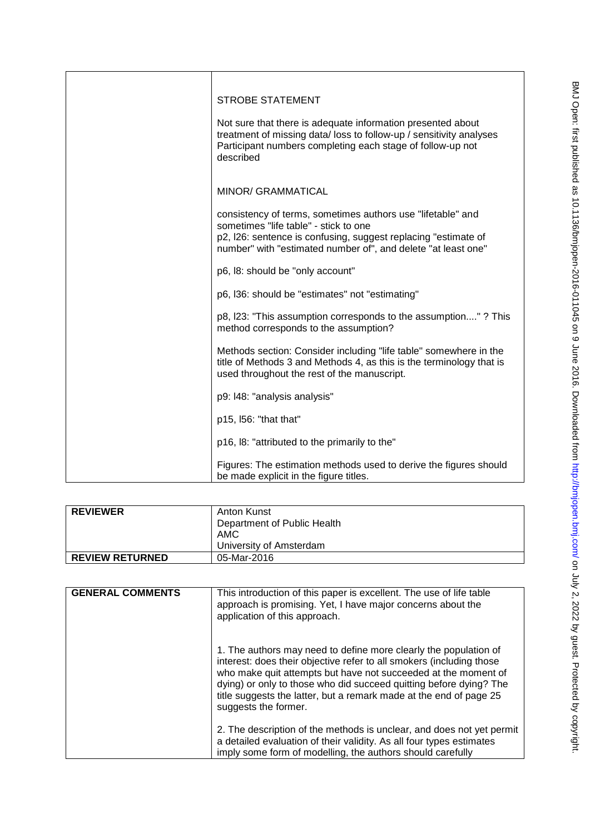| <b>STROBE STATEMENT</b>                                                                                                                                                                                                                 |
|-----------------------------------------------------------------------------------------------------------------------------------------------------------------------------------------------------------------------------------------|
| Not sure that there is adequate information presented about<br>treatment of missing data/loss to follow-up / sensitivity analyses<br>Participant numbers completing each stage of follow-up not<br>described                            |
| MINOR/ GRAMMATICAL                                                                                                                                                                                                                      |
| consistency of terms, sometimes authors use "lifetable" and<br>sometimes "life table" - stick to one<br>p2, I26: sentence is confusing, suggest replacing "estimate of<br>number" with "estimated number of", and delete "at least one" |
| p6, I8: should be "only account"                                                                                                                                                                                                        |
| p6, I36: should be "estimates" not "estimating"                                                                                                                                                                                         |
| p8, I23: "This assumption corresponds to the assumption"? This<br>method corresponds to the assumption?                                                                                                                                 |
| Methods section: Consider including "life table" somewhere in the<br>title of Methods 3 and Methods 4, as this is the terminology that is<br>used throughout the rest of the manuscript.                                                |
| p9: I48: "analysis analysis"                                                                                                                                                                                                            |
| p15, I56: "that that"                                                                                                                                                                                                                   |
| p16, I8: "attributed to the primarily to the"                                                                                                                                                                                           |
| Figures: The estimation methods used to derive the figures should<br>be made explicit in the figure titles.                                                                                                                             |

| <b>REVIEWER</b>        | Anton Kunst<br>Department of Public Health<br>AMC<br>University of Amsterdam |
|------------------------|------------------------------------------------------------------------------|
| <b>REVIEW RETURNED</b> | 05-Mar-2016                                                                  |

| <b>GENERAL COMMENTS</b> | This introduction of this paper is excellent. The use of life table<br>approach is promising. Yet, I have major concerns about the<br>application of this approach.                                                                                                                                                                                                            |
|-------------------------|--------------------------------------------------------------------------------------------------------------------------------------------------------------------------------------------------------------------------------------------------------------------------------------------------------------------------------------------------------------------------------|
|                         | 1. The authors may need to define more clearly the population of<br>interest: does their objective refer to all smokers (including those<br>who make quit attempts but have not succeeded at the moment of<br>dying) or only to those who did succeed quitting before dying? The<br>title suggests the latter, but a remark made at the end of page 25<br>suggests the former. |
|                         | 2. The description of the methods is unclear, and does not yet permit<br>a detailed evaluation of their validity. As all four types estimates<br>imply some form of modelling, the authors should carefully                                                                                                                                                                    |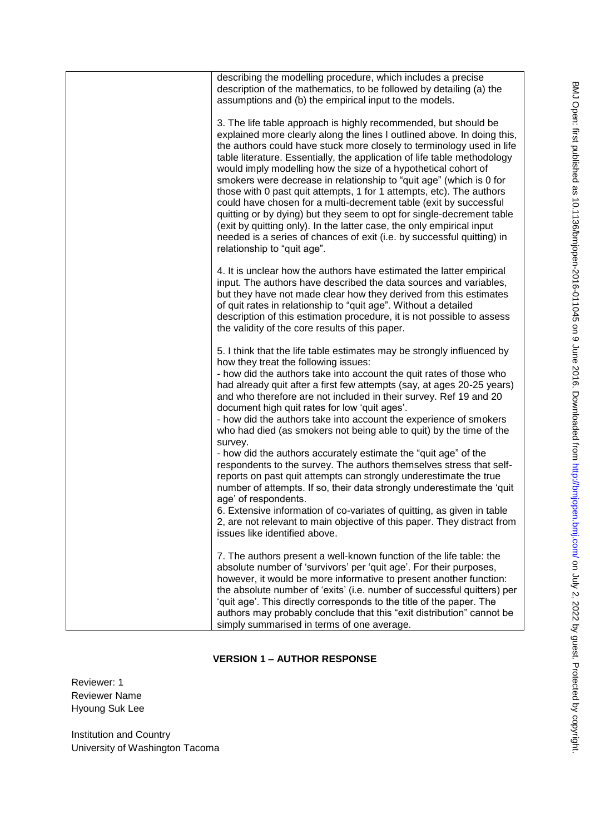|  | describing the modelling procedure, which includes a precise<br>description of the mathematics, to be followed by detailing (a) the<br>assumptions and (b) the empirical input to the models.                                                                                                                                                                                                                                                                                                                                                                                                                                                                                                                                                                                                                                                    |
|--|--------------------------------------------------------------------------------------------------------------------------------------------------------------------------------------------------------------------------------------------------------------------------------------------------------------------------------------------------------------------------------------------------------------------------------------------------------------------------------------------------------------------------------------------------------------------------------------------------------------------------------------------------------------------------------------------------------------------------------------------------------------------------------------------------------------------------------------------------|
|  | 3. The life table approach is highly recommended, but should be<br>explained more clearly along the lines I outlined above. In doing this,<br>the authors could have stuck more closely to terminology used in life<br>table literature. Essentially, the application of life table methodology<br>would imply modelling how the size of a hypothetical cohort of<br>smokers were decrease in relationship to "quit age" (which is 0 for<br>those with 0 past quit attempts, 1 for 1 attempts, etc). The authors<br>could have chosen for a multi-decrement table (exit by successful<br>quitting or by dying) but they seem to opt for single-decrement table<br>(exit by quitting only). In the latter case, the only empirical input<br>needed is a series of chances of exit (i.e. by successful quitting) in<br>relationship to "quit age". |
|  | 4. It is unclear how the authors have estimated the latter empirical<br>input. The authors have described the data sources and variables,<br>but they have not made clear how they derived from this estimates<br>of quit rates in relationship to "quit age". Without a detailed<br>description of this estimation procedure, it is not possible to assess<br>the validity of the core results of this paper.                                                                                                                                                                                                                                                                                                                                                                                                                                   |
|  | 5. I think that the life table estimates may be strongly influenced by<br>how they treat the following issues:<br>- how did the authors take into account the quit rates of those who<br>had already quit after a first few attempts (say, at ages 20-25 years)<br>and who therefore are not included in their survey. Ref 19 and 20<br>document high quit rates for low 'quit ages'.<br>- how did the authors take into account the experience of smokers<br>who had died (as smokers not being able to quit) by the time of the                                                                                                                                                                                                                                                                                                                |
|  | survey.<br>- how did the authors accurately estimate the "quit age" of the<br>respondents to the survey. The authors themselves stress that self-<br>reports on past quit attempts can strongly underestimate the true<br>number of attempts. If so, their data strongly underestimate the 'quit<br>age' of respondents.<br>6. Extensive information of co-variates of quitting, as given in table<br>2, are not relevant to main objective of this paper. They distract from<br>issues like identified above.                                                                                                                                                                                                                                                                                                                                   |
|  | 7. The authors present a well-known function of the life table: the<br>absolute number of 'survivors' per 'quit age'. For their purposes,<br>however, it would be more informative to present another function:<br>the absolute number of 'exits' (i.e. number of successful quitters) per<br>'quit age'. This directly corresponds to the title of the paper. The<br>authors may probably conclude that this "exit distribution" cannot be<br>simply summarised in terms of one average.                                                                                                                                                                                                                                                                                                                                                        |

# **VERSION 1 – AUTHOR RESPONSE**

Reviewer: 1 Reviewer Name Hyoung Suk Lee

Institution and Country University of Washington Tacoma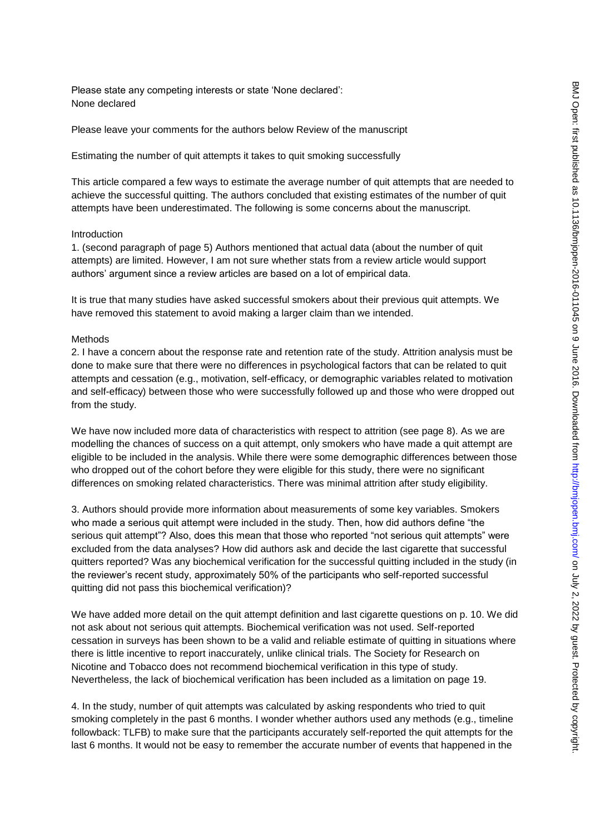Please state any competing interests or state 'None declared': None declared

Please leave your comments for the authors below Review of the manuscript

Estimating the number of quit attempts it takes to quit smoking successfully

This article compared a few ways to estimate the average number of quit attempts that are needed to achieve the successful quitting. The authors concluded that existing estimates of the number of quit attempts have been underestimated. The following is some concerns about the manuscript.

## Introduction

1. (second paragraph of page 5) Authors mentioned that actual data (about the number of quit attempts) are limited. However, I am not sure whether stats from a review article would support authors' argument since a review articles are based on a lot of empirical data.

It is true that many studies have asked successful smokers about their previous quit attempts. We have removed this statement to avoid making a larger claim than we intended.

#### Methods

2. I have a concern about the response rate and retention rate of the study. Attrition analysis must be done to make sure that there were no differences in psychological factors that can be related to quit attempts and cessation (e.g., motivation, self-efficacy, or demographic variables related to motivation and self-efficacy) between those who were successfully followed up and those who were dropped out from the study.

We have now included more data of characteristics with respect to attrition (see page 8). As we are modelling the chances of success on a quit attempt, only smokers who have made a quit attempt are eligible to be included in the analysis. While there were some demographic differences between those who dropped out of the cohort before they were eligible for this study, there were no significant differences on smoking related characteristics. There was minimal attrition after study eligibility.

3. Authors should provide more information about measurements of some key variables. Smokers who made a serious quit attempt were included in the study. Then, how did authors define "the serious quit attempt"? Also, does this mean that those who reported "not serious quit attempts" were excluded from the data analyses? How did authors ask and decide the last cigarette that successful quitters reported? Was any biochemical verification for the successful quitting included in the study (in the reviewer's recent study, approximately 50% of the participants who self-reported successful quitting did not pass this biochemical verification)?

We have added more detail on the quit attempt definition and last cigarette questions on p. 10. We did not ask about not serious quit attempts. Biochemical verification was not used. Self-reported cessation in surveys has been shown to be a valid and reliable estimate of quitting in situations where there is little incentive to report inaccurately, unlike clinical trials. The Society for Research on Nicotine and Tobacco does not recommend biochemical verification in this type of study. Nevertheless, the lack of biochemical verification has been included as a limitation on page 19.

4. In the study, number of quit attempts was calculated by asking respondents who tried to quit smoking completely in the past 6 months. I wonder whether authors used any methods (e.g., timeline followback: TLFB) to make sure that the participants accurately self-reported the quit attempts for the last 6 months. It would not be easy to remember the accurate number of events that happened in the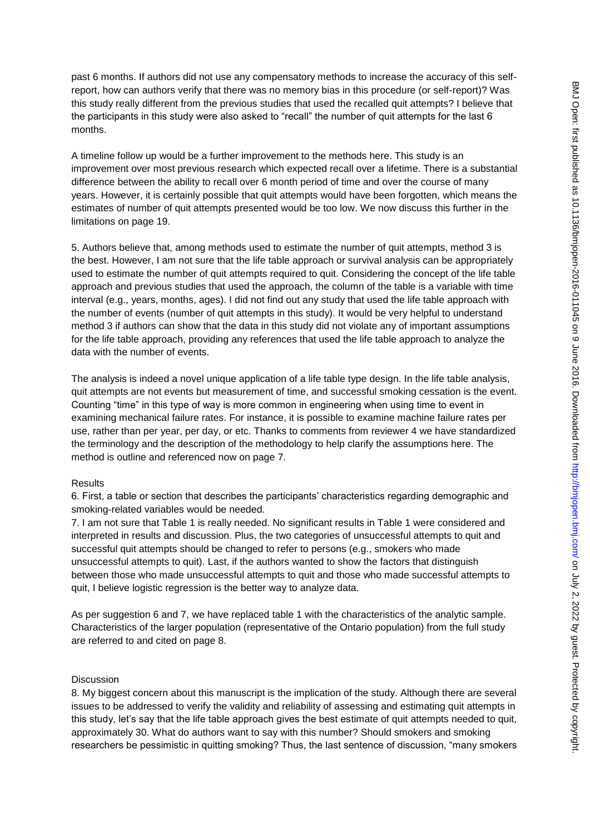past 6 months. If authors did not use any compensatory methods to increase the accuracy of this selfreport, how can authors verify that there was no memory bias in this procedure (or self-report)? Was this study really different from the previous studies that used the recalled quit attempts? I believe that the participants in this study were also asked to "recall" the number of quit attempts for the last 6 months.

A timeline follow up would be a further improvement to the methods here. This study is an improvement over most previous research which expected recall over a lifetime. There is a substantial difference between the ability to recall over 6 month period of time and over the course of many years. However, it is certainly possible that quit attempts would have been forgotten, which means the estimates of number of quit attempts presented would be too low. We now discuss this further in the limitations on page 19.

5. Authors believe that, among methods used to estimate the number of quit attempts, method 3 is the best. However, I am not sure that the life table approach or survival analysis can be appropriately used to estimate the number of quit attempts required to quit. Considering the concept of the life table approach and previous studies that used the approach, the column of the table is a variable with time interval (e.g., years, months, ages). I did not find out any study that used the life table approach with the number of events (number of quit attempts in this study). It would be very helpful to understand method 3 if authors can show that the data in this study did not violate any of important assumptions for the life table approach, providing any references that used the life table approach to analyze the data with the number of events.

The analysis is indeed a novel unique application of a life table type design. In the life table analysis, quit attempts are not events but measurement of time, and successful smoking cessation is the event. Counting "time" in this type of way is more common in engineering when using time to event in examining mechanical failure rates. For instance, it is possible to examine machine failure rates per use, rather than per year, per day, or etc. Thanks to comments from reviewer 4 we have standardized the terminology and the description of the methodology to help clarify the assumptions here. The method is outline and referenced now on page 7.

## Results

6. First, a table or section that describes the participants' characteristics regarding demographic and smoking-related variables would be needed.

7. I am not sure that Table 1 is really needed. No significant results in Table 1 were considered and interpreted in results and discussion. Plus, the two categories of unsuccessful attempts to quit and successful quit attempts should be changed to refer to persons (e.g., smokers who made unsuccessful attempts to quit). Last, if the authors wanted to show the factors that distinguish between those who made unsuccessful attempts to quit and those who made successful attempts to quit, I believe logistic regression is the better way to analyze data.

As per suggestion 6 and 7, we have replaced table 1 with the characteristics of the analytic sample. Characteristics of the larger population (representative of the Ontario population) from the full study are referred to and cited on page 8.

### Discussion

8. My biggest concern about this manuscript is the implication of the study. Although there are several issues to be addressed to verify the validity and reliability of assessing and estimating quit attempts in this study, let's say that the life table approach gives the best estimate of quit attempts needed to quit, approximately 30. What do authors want to say with this number? Should smokers and smoking researchers be pessimistic in quitting smoking? Thus, the last sentence of discussion, "many smokers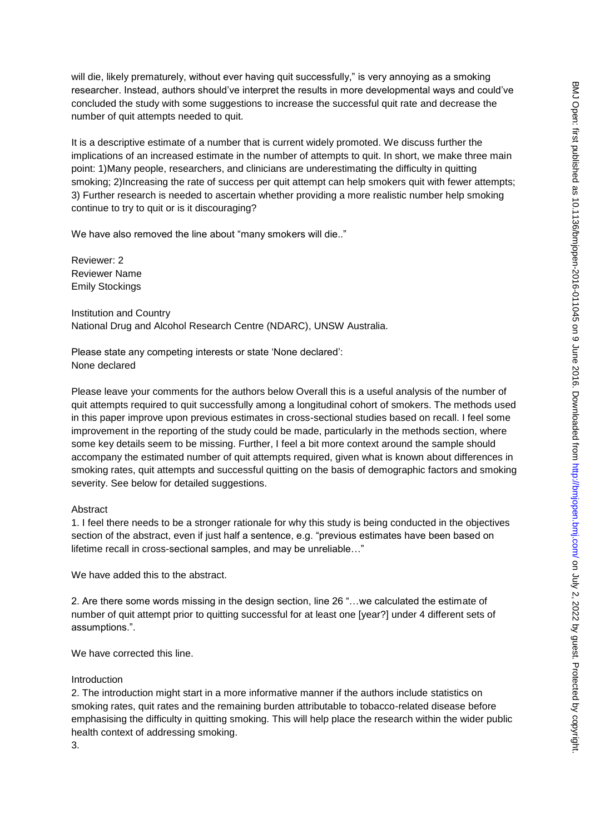will die, likely prematurely, without ever having quit successfully," is very annoying as a smoking researcher. Instead, authors should've interpret the results in more developmental ways and could've concluded the study with some suggestions to increase the successful quit rate and decrease the number of quit attempts needed to quit.

It is a descriptive estimate of a number that is current widely promoted. We discuss further the implications of an increased estimate in the number of attempts to quit. In short, we make three main point: 1)Many people, researchers, and clinicians are underestimating the difficulty in quitting smoking; 2)Increasing the rate of success per quit attempt can help smokers quit with fewer attempts; 3) Further research is needed to ascertain whether providing a more realistic number help smoking continue to try to quit or is it discouraging?

We have also removed the line about "many smokers will die.."

Reviewer: 2 Reviewer Name Emily Stockings

Institution and Country National Drug and Alcohol Research Centre (NDARC), UNSW Australia.

Please state any competing interests or state 'None declared': None declared

Please leave your comments for the authors below Overall this is a useful analysis of the number of quit attempts required to quit successfully among a longitudinal cohort of smokers. The methods used in this paper improve upon previous estimates in cross-sectional studies based on recall. I feel some improvement in the reporting of the study could be made, particularly in the methods section, where some key details seem to be missing. Further, I feel a bit more context around the sample should accompany the estimated number of quit attempts required, given what is known about differences in smoking rates, quit attempts and successful quitting on the basis of demographic factors and smoking severity. See below for detailed suggestions.

## **Abstract**

1. I feel there needs to be a stronger rationale for why this study is being conducted in the objectives section of the abstract, even if just half a sentence, e.g. "previous estimates have been based on lifetime recall in cross-sectional samples, and may be unreliable…"

We have added this to the abstract.

2. Are there some words missing in the design section, line 26 "…we calculated the estimate of number of quit attempt prior to quitting successful for at least one [year?] under 4 different sets of assumptions.".

We have corrected this line.

### Introduction

2. The introduction might start in a more informative manner if the authors include statistics on smoking rates, quit rates and the remaining burden attributable to tobacco-related disease before emphasising the difficulty in quitting smoking. This will help place the research within the wider public health context of addressing smoking.

3.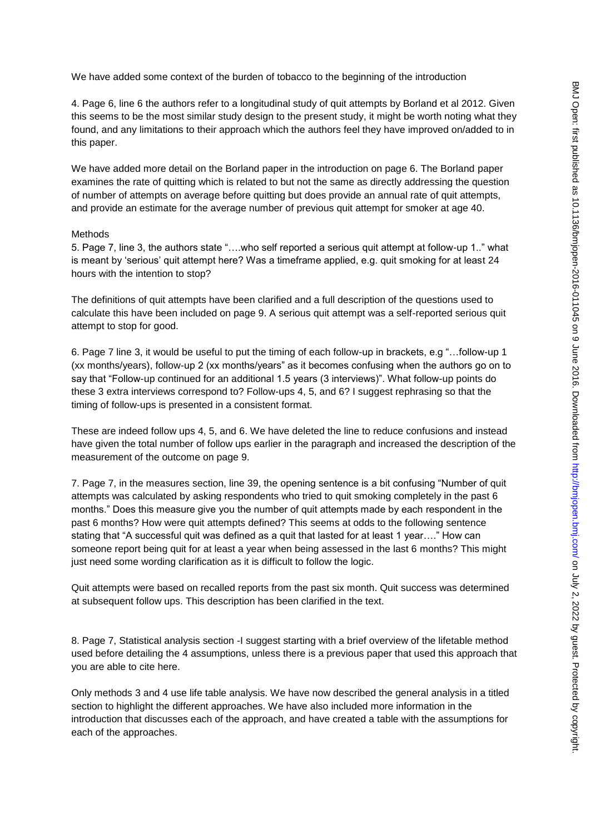We have added some context of the burden of tobacco to the beginning of the introduction

4. Page 6, line 6 the authors refer to a longitudinal study of quit attempts by Borland et al 2012. Given this seems to be the most similar study design to the present study, it might be worth noting what they found, and any limitations to their approach which the authors feel they have improved on/added to in this paper.

We have added more detail on the Borland paper in the introduction on page 6. The Borland paper examines the rate of quitting which is related to but not the same as directly addressing the question of number of attempts on average before quitting but does provide an annual rate of quit attempts, and provide an estimate for the average number of previous quit attempt for smoker at age 40.

#### Methods

5. Page 7, line 3, the authors state "….who self reported a serious quit attempt at follow-up 1.." what is meant by 'serious' quit attempt here? Was a timeframe applied, e.g. quit smoking for at least 24 hours with the intention to stop?

The definitions of quit attempts have been clarified and a full description of the questions used to calculate this have been included on page 9. A serious quit attempt was a self-reported serious quit attempt to stop for good.

6. Page 7 line 3, it would be useful to put the timing of each follow-up in brackets, e.g "…follow-up 1 (xx months/years), follow-up 2 (xx months/years" as it becomes confusing when the authors go on to say that "Follow-up continued for an additional 1.5 years (3 interviews)". What follow-up points do these 3 extra interviews correspond to? Follow-ups 4, 5, and 6? I suggest rephrasing so that the timing of follow-ups is presented in a consistent format.

These are indeed follow ups 4, 5, and 6. We have deleted the line to reduce confusions and instead have given the total number of follow ups earlier in the paragraph and increased the description of the measurement of the outcome on page 9.

7. Page 7, in the measures section, line 39, the opening sentence is a bit confusing "Number of quit attempts was calculated by asking respondents who tried to quit smoking completely in the past 6 months." Does this measure give you the number of quit attempts made by each respondent in the past 6 months? How were quit attempts defined? This seems at odds to the following sentence stating that "A successful quit was defined as a quit that lasted for at least 1 year…." How can someone report being quit for at least a year when being assessed in the last 6 months? This might just need some wording clarification as it is difficult to follow the logic.

Quit attempts were based on recalled reports from the past six month. Quit success was determined at subsequent follow ups. This description has been clarified in the text.

8. Page 7, Statistical analysis section -I suggest starting with a brief overview of the lifetable method used before detailing the 4 assumptions, unless there is a previous paper that used this approach that you are able to cite here.

Only methods 3 and 4 use life table analysis. We have now described the general analysis in a titled section to highlight the different approaches. We have also included more information in the introduction that discusses each of the approach, and have created a table with the assumptions for each of the approaches.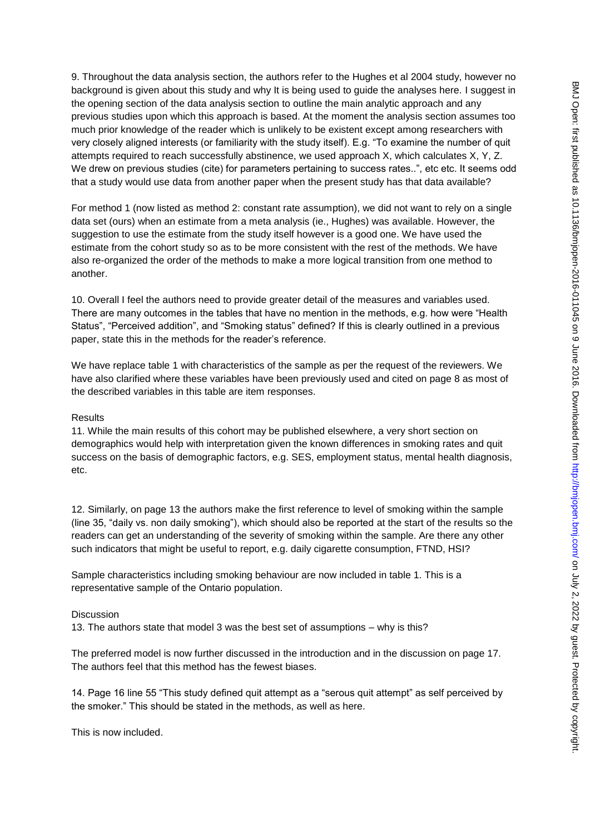9. Throughout the data analysis section, the authors refer to the Hughes et al 2004 study, however no background is given about this study and why It is being used to guide the analyses here. I suggest in the opening section of the data analysis section to outline the main analytic approach and any previous studies upon which this approach is based. At the moment the analysis section assumes too much prior knowledge of the reader which is unlikely to be existent except among researchers with very closely aligned interests (or familiarity with the study itself). E.g. "To examine the number of quit attempts required to reach successfully abstinence, we used approach X, which calculates X, Y, Z. We drew on previous studies (cite) for parameters pertaining to success rates..", etc etc. It seems odd that a study would use data from another paper when the present study has that data available?

For method 1 (now listed as method 2: constant rate assumption), we did not want to rely on a single data set (ours) when an estimate from a meta analysis (ie., Hughes) was available. However, the suggestion to use the estimate from the study itself however is a good one. We have used the estimate from the cohort study so as to be more consistent with the rest of the methods. We have also re-organized the order of the methods to make a more logical transition from one method to another.

10. Overall I feel the authors need to provide greater detail of the measures and variables used. There are many outcomes in the tables that have no mention in the methods, e.g. how were "Health Status", "Perceived addition", and "Smoking status" defined? If this is clearly outlined in a previous paper, state this in the methods for the reader's reference.

We have replace table 1 with characteristics of the sample as per the request of the reviewers. We have also clarified where these variables have been previously used and cited on page 8 as most of the described variables in this table are item responses.

## Results

11. While the main results of this cohort may be published elsewhere, a very short section on demographics would help with interpretation given the known differences in smoking rates and quit success on the basis of demographic factors, e.g. SES, employment status, mental health diagnosis, etc.

12. Similarly, on page 13 the authors make the first reference to level of smoking within the sample (line 35, "daily vs. non daily smoking"), which should also be reported at the start of the results so the readers can get an understanding of the severity of smoking within the sample. Are there any other such indicators that might be useful to report, e.g. daily cigarette consumption, FTND, HSI?

Sample characteristics including smoking behaviour are now included in table 1. This is a representative sample of the Ontario population.

### Discussion

13. The authors state that model 3 was the best set of assumptions – why is this?

The preferred model is now further discussed in the introduction and in the discussion on page 17. The authors feel that this method has the fewest biases.

14. Page 16 line 55 "This study defined quit attempt as a "serous quit attempt" as self perceived by the smoker." This should be stated in the methods, as well as here.

This is now included.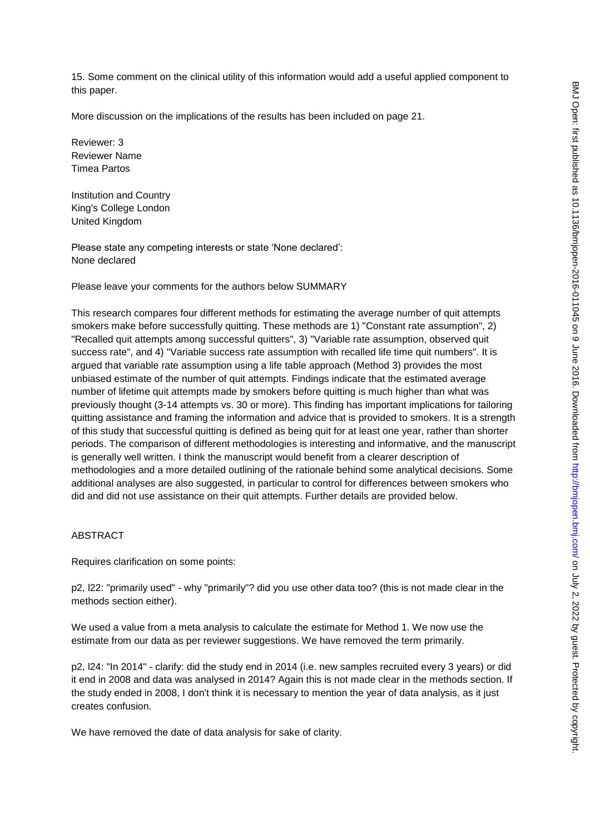15. Some comment on the clinical utility of this information would add a useful applied component to this paper.

More discussion on the implications of the results has been included on page 21.

Reviewer: 3 Reviewer Name Timea Partos

Institution and Country King's College London United Kingdom

Please state any competing interests or state 'None declared': None declared

Please leave your comments for the authors below SUMMARY

This research compares four different methods for estimating the average number of quit attempts smokers make before successfully quitting. These methods are 1) "Constant rate assumption", 2) "Recalled quit attempts among successful quitters", 3) "Variable rate assumption, observed quit success rate", and 4) "Variable success rate assumption with recalled life time quit numbers". It is argued that variable rate assumption using a life table approach (Method 3) provides the most unbiased estimate of the number of quit attempts. Findings indicate that the estimated average number of lifetime quit attempts made by smokers before quitting is much higher than what was previously thought (3-14 attempts vs. 30 or more). This finding has important implications for tailoring quitting assistance and framing the information and advice that is provided to smokers. It is a strength of this study that successful quitting is defined as being quit for at least one year, rather than shorter periods. The comparison of different methodologies is interesting and informative, and the manuscript is generally well written. I think the manuscript would benefit from a clearer description of methodologies and a more detailed outlining of the rationale behind some analytical decisions. Some additional analyses are also suggested, in particular to control for differences between smokers who did and did not use assistance on their quit attempts. Further details are provided below.

### ABSTRACT

Requires clarification on some points:

p2, l22: "primarily used" - why "primarily"? did you use other data too? (this is not made clear in the methods section either).

We used a value from a meta analysis to calculate the estimate for Method 1. We now use the estimate from our data as per reviewer suggestions. We have removed the term primarily.

p2, l24: "In 2014" - clarify: did the study end in 2014 (i.e. new samples recruited every 3 years) or did it end in 2008 and data was analysed in 2014? Again this is not made clear in the methods section. If the study ended in 2008, I don't think it is necessary to mention the year of data analysis, as it just creates confusion.

We have removed the date of data analysis for sake of clarity.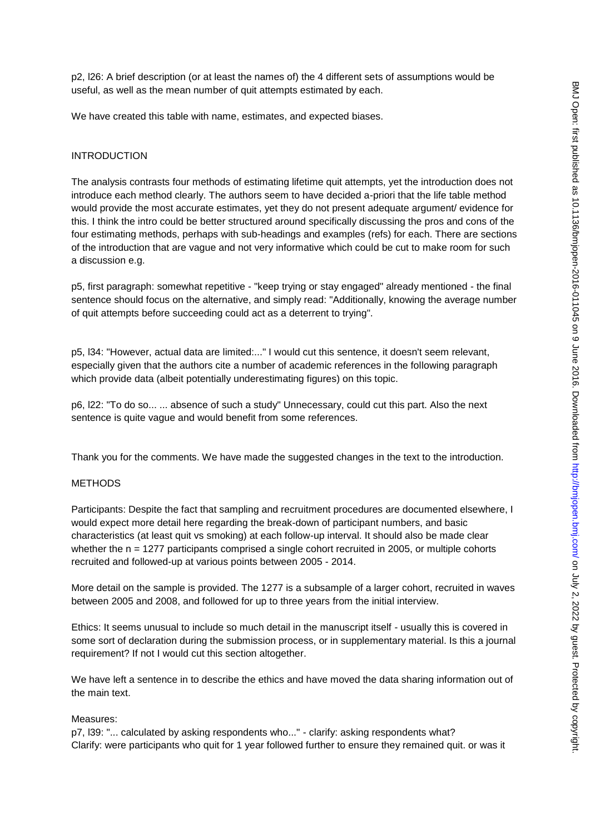p2, l26: A brief description (or at least the names of) the 4 different sets of assumptions would be useful, as well as the mean number of quit attempts estimated by each.

We have created this table with name, estimates, and expected biases.

### INTRODUCTION

The analysis contrasts four methods of estimating lifetime quit attempts, yet the introduction does not introduce each method clearly. The authors seem to have decided a-priori that the life table method would provide the most accurate estimates, yet they do not present adequate argument/ evidence for this. I think the intro could be better structured around specifically discussing the pros and cons of the four estimating methods, perhaps with sub-headings and examples (refs) for each. There are sections of the introduction that are vague and not very informative which could be cut to make room for such a discussion e.g.

p5, first paragraph: somewhat repetitive - "keep trying or stay engaged" already mentioned - the final sentence should focus on the alternative, and simply read: "Additionally, knowing the average number of quit attempts before succeeding could act as a deterrent to trying".

p5, l34: "However, actual data are limited:..." I would cut this sentence, it doesn't seem relevant, especially given that the authors cite a number of academic references in the following paragraph which provide data (albeit potentially underestimating figures) on this topic.

p6, l22: "To do so... ... absence of such a study" Unnecessary, could cut this part. Also the next sentence is quite vague and would benefit from some references.

Thank you for the comments. We have made the suggested changes in the text to the introduction.

## METHODS

Participants: Despite the fact that sampling and recruitment procedures are documented elsewhere, I would expect more detail here regarding the break-down of participant numbers, and basic characteristics (at least quit vs smoking) at each follow-up interval. It should also be made clear whether the n = 1277 participants comprised a single cohort recruited in 2005, or multiple cohorts recruited and followed-up at various points between 2005 - 2014.

More detail on the sample is provided. The 1277 is a subsample of a larger cohort, recruited in waves between 2005 and 2008, and followed for up to three years from the initial interview.

Ethics: It seems unusual to include so much detail in the manuscript itself - usually this is covered in some sort of declaration during the submission process, or in supplementary material. Is this a journal requirement? If not I would cut this section altogether.

We have left a sentence in to describe the ethics and have moved the data sharing information out of the main text.

## Measures:

p7, l39: "... calculated by asking respondents who..." - clarify: asking respondents what? Clarify: were participants who quit for 1 year followed further to ensure they remained quit. or was it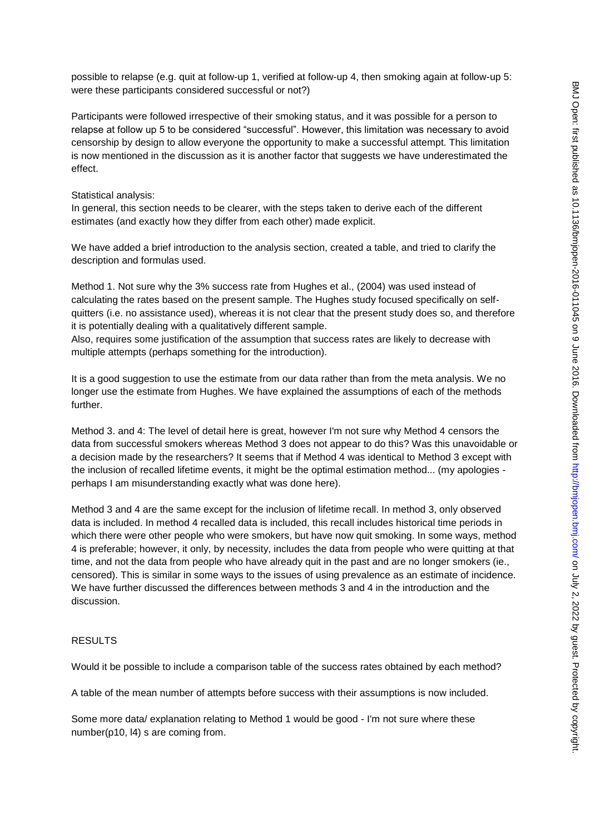possible to relapse (e.g. quit at follow-up 1, verified at follow-up 4, then smoking again at follow-up 5: were these participants considered successful or not?)

Participants were followed irrespective of their smoking status, and it was possible for a person to relapse at follow up 5 to be considered "successful". However, this limitation was necessary to avoid censorship by design to allow everyone the opportunity to make a successful attempt. This limitation is now mentioned in the discussion as it is another factor that suggests we have underestimated the effect.

Statistical analysis:

In general, this section needs to be clearer, with the steps taken to derive each of the different estimates (and exactly how they differ from each other) made explicit.

We have added a brief introduction to the analysis section, created a table, and tried to clarify the description and formulas used.

Method 1. Not sure why the 3% success rate from Hughes et al., (2004) was used instead of calculating the rates based on the present sample. The Hughes study focused specifically on selfquitters (i.e. no assistance used), whereas it is not clear that the present study does so, and therefore it is potentially dealing with a qualitatively different sample.

Also, requires some justification of the assumption that success rates are likely to decrease with multiple attempts (perhaps something for the introduction).

It is a good suggestion to use the estimate from our data rather than from the meta analysis. We no longer use the estimate from Hughes. We have explained the assumptions of each of the methods further.

Method 3. and 4: The level of detail here is great, however I'm not sure why Method 4 censors the data from successful smokers whereas Method 3 does not appear to do this? Was this unavoidable or a decision made by the researchers? It seems that if Method 4 was identical to Method 3 except with the inclusion of recalled lifetime events, it might be the optimal estimation method... (my apologies perhaps I am misunderstanding exactly what was done here).

Method 3 and 4 are the same except for the inclusion of lifetime recall. In method 3, only observed data is included. In method 4 recalled data is included, this recall includes historical time periods in which there were other people who were smokers, but have now quit smoking. In some ways, method 4 is preferable; however, it only, by necessity, includes the data from people who were quitting at that time, and not the data from people who have already quit in the past and are no longer smokers (ie., censored). This is similar in some ways to the issues of using prevalence as an estimate of incidence. We have further discussed the differences between methods 3 and 4 in the introduction and the discussion.

## RESULTS

Would it be possible to include a comparison table of the success rates obtained by each method?

A table of the mean number of attempts before success with their assumptions is now included.

Some more data/ explanation relating to Method 1 would be good - I'm not sure where these number(p10, l4) s are coming from.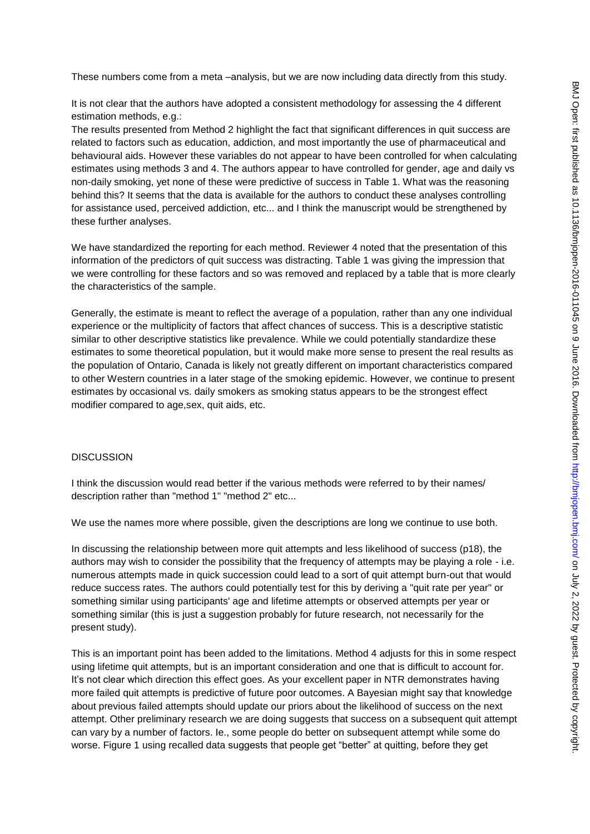These numbers come from a meta –analysis, but we are now including data directly from this study.

It is not clear that the authors have adopted a consistent methodology for assessing the 4 different estimation methods, e.g.:

The results presented from Method 2 highlight the fact that significant differences in quit success are related to factors such as education, addiction, and most importantly the use of pharmaceutical and behavioural aids. However these variables do not appear to have been controlled for when calculating estimates using methods 3 and 4. The authors appear to have controlled for gender, age and daily vs non-daily smoking, yet none of these were predictive of success in Table 1. What was the reasoning behind this? It seems that the data is available for the authors to conduct these analyses controlling for assistance used, perceived addiction, etc... and I think the manuscript would be strengthened by these further analyses.

We have standardized the reporting for each method. Reviewer 4 noted that the presentation of this information of the predictors of quit success was distracting. Table 1 was giving the impression that we were controlling for these factors and so was removed and replaced by a table that is more clearly the characteristics of the sample.

Generally, the estimate is meant to reflect the average of a population, rather than any one individual experience or the multiplicity of factors that affect chances of success. This is a descriptive statistic similar to other descriptive statistics like prevalence. While we could potentially standardize these estimates to some theoretical population, but it would make more sense to present the real results as the population of Ontario, Canada is likely not greatly different on important characteristics compared to other Western countries in a later stage of the smoking epidemic. However, we continue to present estimates by occasional vs. daily smokers as smoking status appears to be the strongest effect modifier compared to age,sex, quit aids, etc.

#### **DISCUSSION**

I think the discussion would read better if the various methods were referred to by their names/ description rather than "method 1" "method 2" etc...

We use the names more where possible, given the descriptions are long we continue to use both.

In discussing the relationship between more quit attempts and less likelihood of success (p18), the authors may wish to consider the possibility that the frequency of attempts may be playing a role - i.e. numerous attempts made in quick succession could lead to a sort of quit attempt burn-out that would reduce success rates. The authors could potentially test for this by deriving a "quit rate per year" or something similar using participants' age and lifetime attempts or observed attempts per year or something similar (this is just a suggestion probably for future research, not necessarily for the present study).

This is an important point has been added to the limitations. Method 4 adjusts for this in some respect using lifetime quit attempts, but is an important consideration and one that is difficult to account for. It's not clear which direction this effect goes. As your excellent paper in NTR demonstrates having more failed quit attempts is predictive of future poor outcomes. A Bayesian might say that knowledge about previous failed attempts should update our priors about the likelihood of success on the next attempt. Other preliminary research we are doing suggests that success on a subsequent quit attempt can vary by a number of factors. Ie., some people do better on subsequent attempt while some do worse. Figure 1 using recalled data suggests that people get "better" at quitting, before they get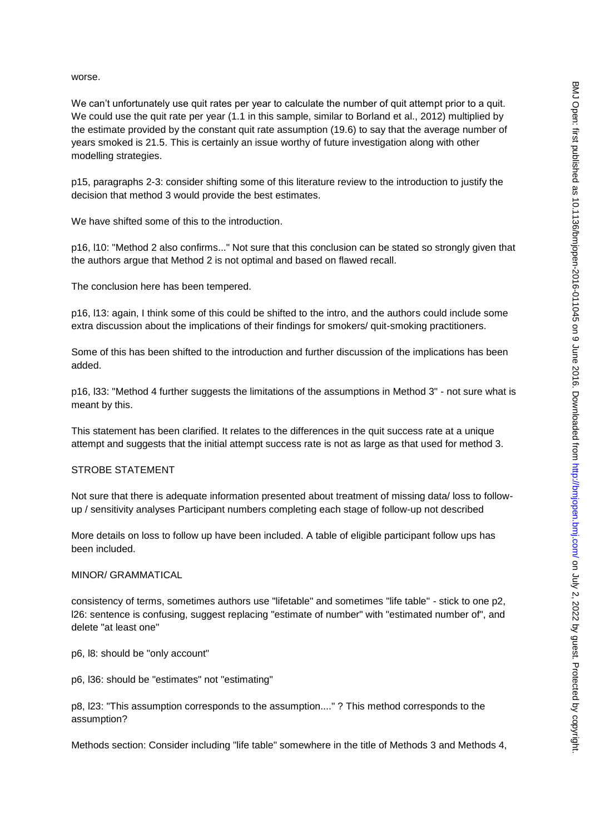#### worse.

We can't unfortunately use quit rates per year to calculate the number of quit attempt prior to a quit. We could use the quit rate per year (1.1 in this sample, similar to Borland et al., 2012) multiplied by the estimate provided by the constant quit rate assumption (19.6) to say that the average number of years smoked is 21.5. This is certainly an issue worthy of future investigation along with other modelling strategies.

p15, paragraphs 2-3: consider shifting some of this literature review to the introduction to justify the decision that method 3 would provide the best estimates.

We have shifted some of this to the introduction.

p16, l10: "Method 2 also confirms..." Not sure that this conclusion can be stated so strongly given that the authors argue that Method 2 is not optimal and based on flawed recall.

The conclusion here has been tempered.

p16, l13: again, I think some of this could be shifted to the intro, and the authors could include some extra discussion about the implications of their findings for smokers/ quit-smoking practitioners.

Some of this has been shifted to the introduction and further discussion of the implications has been added.

p16, l33: "Method 4 further suggests the limitations of the assumptions in Method 3" - not sure what is meant by this.

This statement has been clarified. It relates to the differences in the quit success rate at a unique attempt and suggests that the initial attempt success rate is not as large as that used for method 3.

#### STROBE STATEMENT

Not sure that there is adequate information presented about treatment of missing data/ loss to followup / sensitivity analyses Participant numbers completing each stage of follow-up not described

More details on loss to follow up have been included. A table of eligible participant follow ups has been included.

#### MINOR/ GRAMMATICAL

consistency of terms, sometimes authors use "lifetable" and sometimes "life table" - stick to one p2, l26: sentence is confusing, suggest replacing "estimate of number" with "estimated number of", and delete "at least one"

#### p6, l8: should be "only account"

p6, l36: should be "estimates" not "estimating"

p8, l23: "This assumption corresponds to the assumption...." ? This method corresponds to the assumption?

Methods section: Consider including "life table" somewhere in the title of Methods 3 and Methods 4,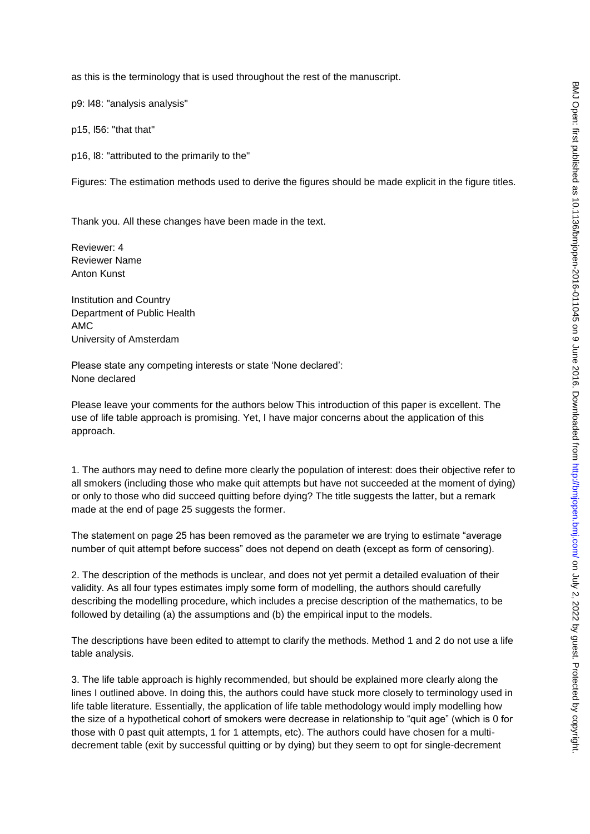as this is the terminology that is used throughout the rest of the manuscript.

p9: l48: "analysis analysis"

p15, l56: "that that"

p16, l8: "attributed to the primarily to the"

Figures: The estimation methods used to derive the figures should be made explicit in the figure titles.

Thank you. All these changes have been made in the text.

Reviewer: 4 Reviewer Name Anton Kunst

Institution and Country Department of Public Health AMC University of Amsterdam

Please state any competing interests or state 'None declared': None declared

Please leave your comments for the authors below This introduction of this paper is excellent. The use of life table approach is promising. Yet, I have major concerns about the application of this approach.

1. The authors may need to define more clearly the population of interest: does their objective refer to all smokers (including those who make quit attempts but have not succeeded at the moment of dying) or only to those who did succeed quitting before dying? The title suggests the latter, but a remark made at the end of page 25 suggests the former.

The statement on page 25 has been removed as the parameter we are trying to estimate "average number of quit attempt before success" does not depend on death (except as form of censoring).

2. The description of the methods is unclear, and does not yet permit a detailed evaluation of their validity. As all four types estimates imply some form of modelling, the authors should carefully describing the modelling procedure, which includes a precise description of the mathematics, to be followed by detailing (a) the assumptions and (b) the empirical input to the models.

The descriptions have been edited to attempt to clarify the methods. Method 1 and 2 do not use a life table analysis.

3. The life table approach is highly recommended, but should be explained more clearly along the lines I outlined above. In doing this, the authors could have stuck more closely to terminology used in life table literature. Essentially, the application of life table methodology would imply modelling how the size of a hypothetical cohort of smokers were decrease in relationship to "quit age" (which is 0 for those with 0 past quit attempts, 1 for 1 attempts, etc). The authors could have chosen for a multidecrement table (exit by successful quitting or by dying) but they seem to opt for single-decrement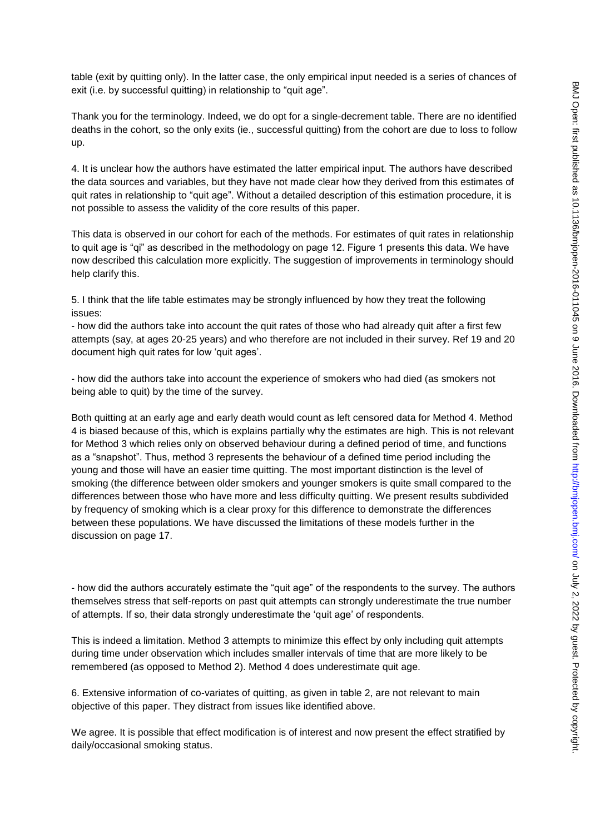table (exit by quitting only). In the latter case, the only empirical input needed is a series of chances of exit (i.e. by successful quitting) in relationship to "quit age".

Thank you for the terminology. Indeed, we do opt for a single-decrement table. There are no identified deaths in the cohort, so the only exits (ie., successful quitting) from the cohort are due to loss to follow up.

4. It is unclear how the authors have estimated the latter empirical input. The authors have described the data sources and variables, but they have not made clear how they derived from this estimates of quit rates in relationship to "quit age". Without a detailed description of this estimation procedure, it is not possible to assess the validity of the core results of this paper.

This data is observed in our cohort for each of the methods. For estimates of quit rates in relationship to quit age is "qi" as described in the methodology on page 12. Figure 1 presents this data. We have now described this calculation more explicitly. The suggestion of improvements in terminology should help clarify this.

5. I think that the life table estimates may be strongly influenced by how they treat the following issues:

- how did the authors take into account the quit rates of those who had already quit after a first few attempts (say, at ages 20-25 years) and who therefore are not included in their survey. Ref 19 and 20 document high quit rates for low 'quit ages'.

- how did the authors take into account the experience of smokers who had died (as smokers not being able to quit) by the time of the survey.

Both quitting at an early age and early death would count as left censored data for Method 4. Method 4 is biased because of this, which is explains partially why the estimates are high. This is not relevant for Method 3 which relies only on observed behaviour during a defined period of time, and functions as a "snapshot". Thus, method 3 represents the behaviour of a defined time period including the young and those will have an easier time quitting. The most important distinction is the level of smoking (the difference between older smokers and younger smokers is quite small compared to the differences between those who have more and less difficulty quitting. We present results subdivided by frequency of smoking which is a clear proxy for this difference to demonstrate the differences between these populations. We have discussed the limitations of these models further in the discussion on page 17.

- how did the authors accurately estimate the "quit age" of the respondents to the survey. The authors themselves stress that self-reports on past quit attempts can strongly underestimate the true number of attempts. If so, their data strongly underestimate the 'quit age' of respondents.

This is indeed a limitation. Method 3 attempts to minimize this effect by only including quit attempts during time under observation which includes smaller intervals of time that are more likely to be remembered (as opposed to Method 2). Method 4 does underestimate quit age.

6. Extensive information of co-variates of quitting, as given in table 2, are not relevant to main objective of this paper. They distract from issues like identified above.

We agree. It is possible that effect modification is of interest and now present the effect stratified by daily/occasional smoking status.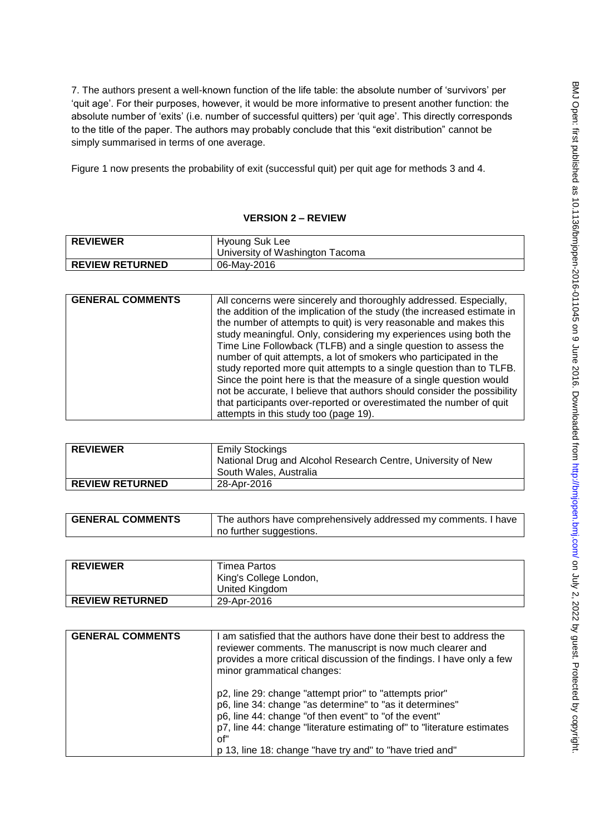7. The authors present a well-known function of the life table: the absolute number of 'survivors' per 'quit age'. For their purposes, however, it would be more informative to present another function: the absolute number of 'exits' (i.e. number of successful quitters) per 'quit age'. This directly corresponds to the title of the paper. The authors may probably conclude that this "exit distribution" cannot be simply summarised in terms of one average.

Figure 1 now presents the probability of exit (successful quit) per quit age for methods 3 and 4.

# **VERSION 2 – REVIEW**

| <b>REVIEWER</b>        | Hyoung Suk Lee<br>University of Washington Tacoma |
|------------------------|---------------------------------------------------|
| <b>REVIEW RETURNED</b> | 06-May-2016                                       |

| <b>GENERAL COMMENTS</b> | All concerns were sincerely and thoroughly addressed. Especially,<br>the addition of the implication of the study (the increased estimate in<br>the number of attempts to quit) is very reasonable and makes this<br>study meaningful. Only, considering my experiences using both the<br>Time Line Followback (TLFB) and a single question to assess the<br>number of quit attempts, a lot of smokers who participated in the<br>study reported more quit attempts to a single question than to TLFB.<br>Since the point here is that the measure of a single question would |
|-------------------------|-------------------------------------------------------------------------------------------------------------------------------------------------------------------------------------------------------------------------------------------------------------------------------------------------------------------------------------------------------------------------------------------------------------------------------------------------------------------------------------------------------------------------------------------------------------------------------|
|                         | not be accurate, I believe that authors should consider the possibility<br>that participants over-reported or overestimated the number of quit                                                                                                                                                                                                                                                                                                                                                                                                                                |
|                         | attempts in this study too (page 19).                                                                                                                                                                                                                                                                                                                                                                                                                                                                                                                                         |

| <b>REVIEWER</b>        | <b>Emily Stockings</b>                                       |
|------------------------|--------------------------------------------------------------|
|                        | National Drug and Alcohol Research Centre, University of New |
|                        | South Wales, Australia                                       |
| <b>REVIEW RETURNED</b> | 28-Apr-2016                                                  |

| <b>GENERAL COMMENTS</b> | The authors have comprehensively addressed my comments. I have |
|-------------------------|----------------------------------------------------------------|
|                         | no further suggestions.                                        |

| <b>REVIEWER</b>        | Timea Partos           |
|------------------------|------------------------|
|                        | King's College London, |
|                        | United Kingdom         |
| <b>REVIEW RETURNED</b> | 29-Apr-2016            |

| <b>GENERAL COMMENTS</b> | I am satisfied that the authors have done their best to address the<br>reviewer comments. The manuscript is now much clearer and<br>provides a more critical discussion of the findings. I have only a few<br>minor grammatical changes:                                                                                   |
|-------------------------|----------------------------------------------------------------------------------------------------------------------------------------------------------------------------------------------------------------------------------------------------------------------------------------------------------------------------|
|                         | p2, line 29: change "attempt prior" to "attempts prior"<br>p6, line 34: change "as determine" to "as it determines"<br>p6, line 44: change "of then event" to "of the event"<br>p7, line 44: change "literature estimating of" to "literature estimates<br>of"<br>p 13, line 18: change "have try and" to "have tried and" |